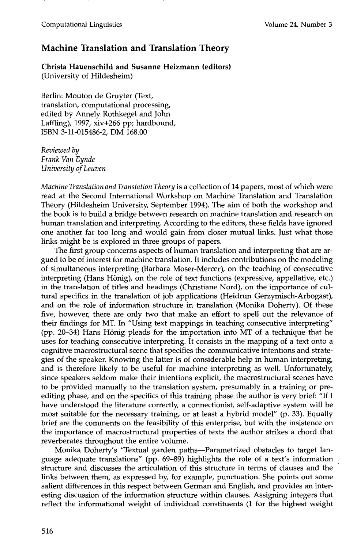## **Machine Translation and Translation Theory**

**Christa Hauenschild and Susanne Heizmann (editors)**  (University of Hildesheim)

Berlin: Mouton de Gruyter (Text, translation, computational processing, edited by Annely Rothkegel and John Laffiing), 1997, xiv+266 pp; hardbound, ISBN 3-11-015486-2, DM 168.00

*Reviewed by Frank Van Eynde University of Leuven* 

*Machine Translation and Translation Theory* is a collection of 14 papers, most of which were read at the Second International Workshop on Machine Translation and Translation Theory (Hildesheim University, September 1994). The aim of both the workshop and the book is to build a bridge between research on machine translation and research on human translation and interpreting. According to the editors, these fields have ignored one another far too long and would gain from closer mutual links. Just what those links might be is explored in three groups of papers.

The first group concerns aspects of human translation and interpreting that are argued to be of interest for machine translation. It includes contributions on the modeling of simultaneous interpreting (Barbara Moser-Mercer), on the teaching of consecutive interpreting (Hans Hönig), on the role of text functions (expressive, appellative, etc.) in the translation of titles and headings (Christiane Nord), on the importance of cultural specifics in the translation of job applications (Heidrun Gerzymisch-Arbogast), and on the role of information structure in translation (Monika Doherty). Of these five, however, there are only two that make an effort to spell out the relevance of their findings for MT. In "Using text mappings in teaching consecutive interpreting" (pp. 20-34) Hans Hönig pleads for the importation into MT of a technique that he uses for teaching consecutive interpreting. It consists in the mapping of a text onto a cognitive macrostructural scene that specifies the communicative intentions and strategies of the speaker. Knowing the latter is of considerable help in human interpreting, and is therefore likely to be useful for machine interpreting as well. Unfortunately, since speakers seldom make their intentions explicit, the macrostructural scenes have to be provided manually to the translation system, presumably in a training or preediting phase, and on the specifics of this training phase the author is very brief: "If I have understood the literature correctly, a connectionist, self-adaptive system will be most suitable for the necessary training, or at least a hybrid model" (p. 33). Equally brief are the comments on the feasibility of this enterprise, but with the insistence on the importance of macrostructural properties of texts the author strikes a chord that reverberates throughout the entire volume.

Monika Doherty's "Textual garden paths--Parametrized obstacles to target language adequate translations" (pp. 69-89) highlights the role of a text's information structure and discusses the articulation of this structure in terms of clauses and the links between them, as expressed by, for example, punctuation. She points out some salient differences in this respect between German and English, and provides an interesting discussion of the information structure within clauses. Assigning integers that reflect the informational weight of individual constituents (1 for the highest weight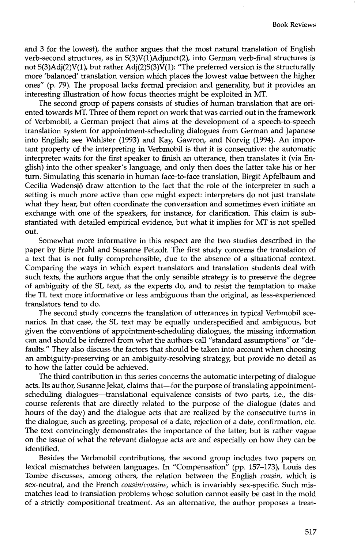and 3 for the lowest), the author argues that the most natural translation of English verb-second structures, as in  $S(3)V(1)$ Adjunct(2), into German verb-final structures is not S(3)Adj(2)V(1), but rather Adj(2)S(3)V(1): "The preferred version is the structurally more 'balanced' translation version which places the lowest value between the higher ones" (p. 79). The proposal lacks formal precision and generality, but it provides an interesting illustration of how focus theories might be exploited in MT.

The second group of papers consists of studies of human translation that are oriented towards MT. Three of them report on work that was carried out in the framework of Verbmobil, a German project that aims at the development of a speech-to-speech translation system for appointment-scheduling dialogues from German and Japanese into English; see Wahlster (1993) and Kay, Gawron, and Norvig (1994). An important property of the interpreting in Verbmobil is that it is consecutive: the automatic interpreter waits for the first speaker to finish an utterance, then translates it (via English) into the other speaker's language, and only then does the latter take his or her turn: Simulating this scenario in human face-to-face translation, Birgit Apfelbaum and Cecilia Wadensjö draw attention to the fact that the role of the interpreter in such a setting is much more active than one might expect: interpreters do not just translate what they hear, but often coordinate the conversation and sometimes even initiate an exchange with one of the speakers, for instance, for clarification. This claim is substantiated with detailed empirical evidence, but what it implies for MT is not spelled out.

Somewhat more informative in this respect are the two studies described in the paper by Birte Prahl and Susanne Petzolt. The first study concerns the translation of a text that is not fully comprehensible, due to the absence of a situational context. Comparing the ways in which expert translators and translation students deal with such texts, the authors argue that the only sensible strategy is to preserve the degree of ambiguity of the SL text, as the experts do, and to resist the temptation to make the TL text more informative or less ambiguous than the original, as less-experienced translators tend to do.

The second study concerns the translation of utterances in typical Verbmobil scenarios. In that case, the SL text may be equally underspecified and ambiguous, but given the conventions of appointment-scheduling dialogues, the missing information can and should be inferred from what the authors call "standard assumptions" or "defaults." They also discuss the factors that should be taken into account when choosing an ambiguity-preserving or an ambiguity-resolving strategy, but provide no detail as to how the latter could be achieved.

The third contribution in this series concerns the automatic interpeting of dialogue acts. Its author, Susanne Jekat, claims that—for the purpose of translating appointmentscheduling dialogues—translational equivalence consists of two parts, i.e., the discourse referents that are directly related to the purpose of the dialogue (dates and hours of the day) and the dialogue acts that are realized by the consecutive turns in the dialogue, such as greeting, proposal of a date, rejection of a date, confirmation, etc. The text convincingly demonstrates the importance of the latter, but is rather vague on the issue of what the relevant dialogue acts are and especially on how they can be identified.

Besides the Verbmobil contributions, the second group includes two papers on lexical mismatches between languages. In "Compensation" (pp. 157-173), Louis des Tombe discusses, among others, the relation between the English *cousin,* which is sex-neutral, and the French *cousin/cousine*, which is invariably sex-specific. Such mismatches lead to translation problems whose solution cannot easily be cast in the mold of a strictly compositional treatment. As an alternative, the author proposes a treat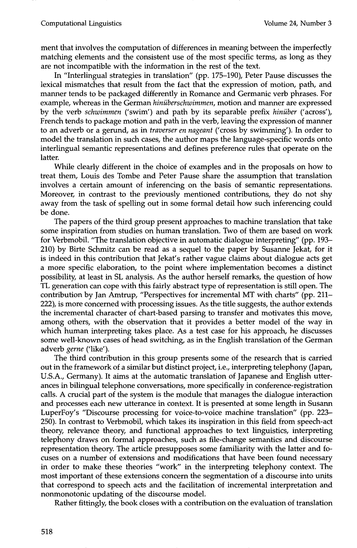ment that involves the computation of differences in meaning between the imperfectly matching elements and the consistent use of the most specific terms, as long as they are not incompatible with the information in the rest of the text.

In "Interlingual strategies in translation" (pp. 175-190), Peter Pause discusses the lexical mismatches that result from the fact that the expression of motion, path, and manner tends to be packaged differently in Romance and Germanic verb phrases. For example, whereas in the German *hiniiberschwimmen,* motion and manner are expressed by the verb *schwimmen* ('swim') and path by its separable prefix *hiniiber* ('across'), French tends to package motion and path in the verb, leaving the expression of manner to an adverb or a gerund, as in *traverser en nageant* ('cross by swimming'). In order to model the translation in such cases, the author maps the language-specific words onto interlingual semantic representations and defines preference rules that operate on the latter.

While clearly different in the choice of examples and in the proposals on how to treat them, Louis des Tombe and Peter Pause share the assumption that translation involves a certain amount of inferencing on the basis of semantic representations. Moreover, in contrast to the previously mentioned contributions, they do not shy away from the task of spelling out in some formal detail how such inferencing could be done.

The papers of the third group present approaches to machine translation that take some inspiration from studies on human translation. Two of them are based on work for Verbmobil. "The translation objective in automatic dialogue interpreting" (pp. 193- 210) by Birte Schmitz can be read as a sequel to the paper by Susanne Jekat, for it is indeed in this contribution that Jekat's rather vague claims about dialogue acts get a more specific elaboration, to the point where implementation becomes a distinct possibility, at least in SL analysis. As the author herself remarks, the question of how TL generation can cope with this fairly abstract type of representation is still open. The contribution by Jan Amtrup, "Perspectives for incremental MT with charts" (pp. 211- 222), is more concerned with processing issues. As the title suggests, the author extends the incremental character of chart-based parsing to transfer and motivates this move, among others, with the observation that it provides a better model of the way in which human interpreting takes place. As a test case for his approach, he discusses some well-known cases of head switching, as in the English translation of the German adverb *gerne* ('like').

The third contribution in this group presents some of the research that is carried out in the framework of a similar but distinct project, i.e., interpreting telephony (Japan, U.S.A., Germany). It aims at the automatic translation of Japanese and English utterances in bilingual telephone conversations, more specifically in conference-registration calls. A crucial part of the system is the module that manages the dialogue interaction and processes each new utterance in context. It is presented at some length in Susann LuperFoy's "Discourse processing for voice-to-voice machine translation" (pp. 223- 250). In contrast to Verbmobil, which takes its inspiration in this field from speech-act theory, relevance theory, and functional approaches to text linguistics, interpreting telephony draws on formal approaches, such as file-change semantics and discourse representation theory. The article presupposes some familiarity with the latter and focuses on a number of extensions and modifications that have been found necessary in order to make these theories "work" in the interpreting telephony context. The most important of these extensions concern the segmentation of a discourse into units that correspond to speech acts and the facilitation of incremental interpretation and nonrnonotonic updating of the discourse model.

Rather fittingly, the book closes with a contribution on the evaluation of translation